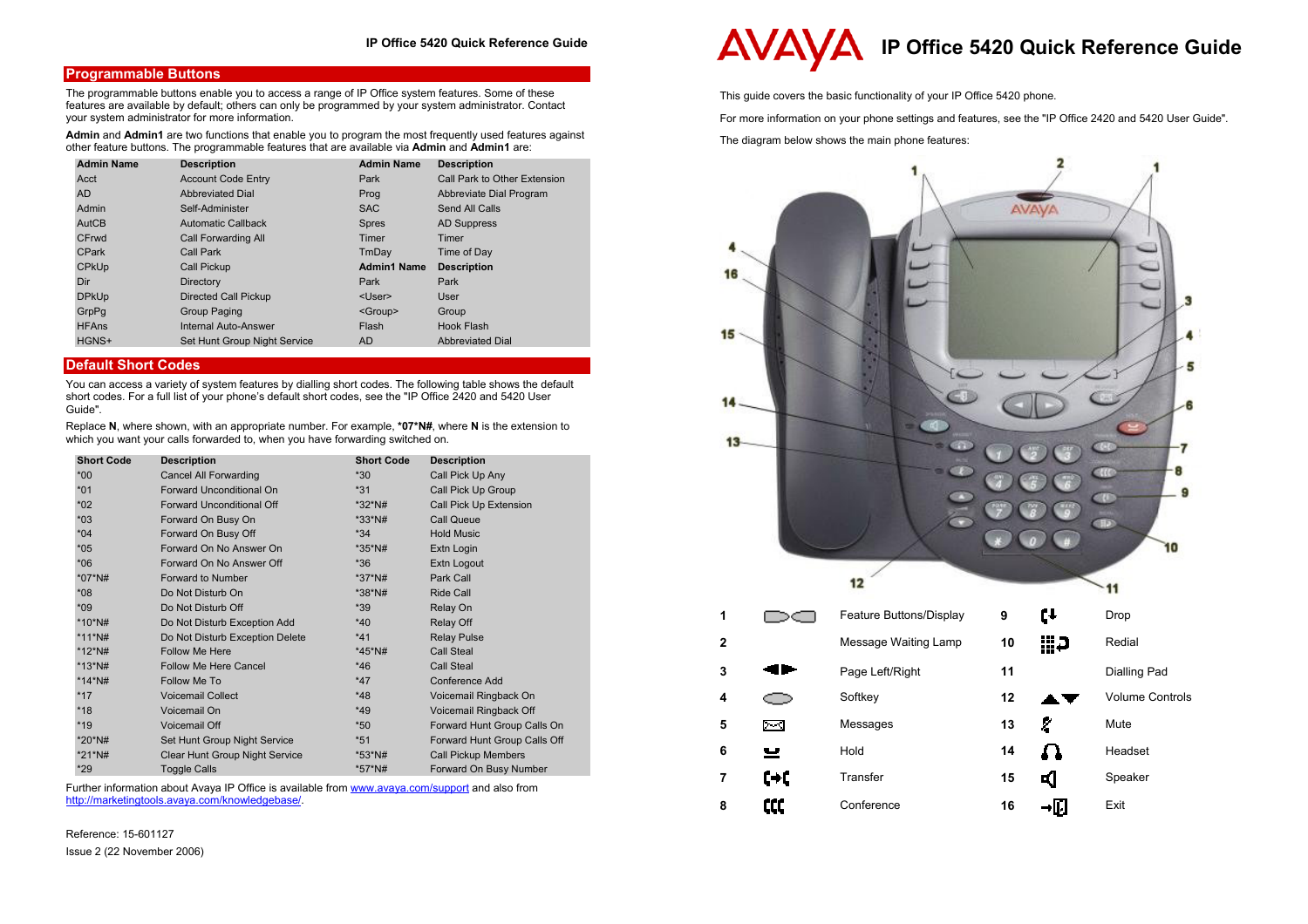# **Programmable Buttons**

The programmable buttons enable you to access a range of IP Office system features. Some of these features are available by default; others can only be programmed by your system administrator. Contact your system administrator for more information.

**Admin** and **Admin1** are two functions that enable you to program the most frequently used features against other feature buttons. The programmable features that are available via **Admin** and **Admin1** are:

| <b>Admin Name</b> | <b>Description</b>           | <b>Admin Name</b>  | <b>Description</b>           |
|-------------------|------------------------------|--------------------|------------------------------|
| Acct              | <b>Account Code Entry</b>    | Park               | Call Park to Other Extension |
| <b>AD</b>         | <b>Abbreviated Dial</b>      | Prog               | Abbreviate Dial Program      |
| Admin             | Self-Administer              | <b>SAC</b>         | Send All Calls               |
| AutCB             | <b>Automatic Callback</b>    | <b>Spres</b>       | <b>AD Suppress</b>           |
| CFrwd             | Call Forwarding All          | Timer              | Timer                        |
| <b>CPark</b>      | Call Park                    | TmDay              | Time of Day                  |
| <b>CPKUp</b>      | Call Pickup                  | <b>Admin1 Name</b> | <b>Description</b>           |
| Dir               | Directory                    | Park               | Park                         |
| <b>DPkUp</b>      | <b>Directed Call Pickup</b>  | <user></user>      | User                         |
| GrpPq             | Group Paging                 | <group></group>    | Group                        |
| <b>HFAns</b>      | <b>Internal Auto-Answer</b>  | Flash              | Hook Flash                   |
| HGNS+             | Set Hunt Group Night Service | AD.                | <b>Abbreviated Dial</b>      |

# **Default Short Codes**

You can access a variety of system features by dialling short codes. The following table shows the default short codes. For a full list of your phone's default short codes, see the "IP Office 2420 and 5420 User Guide".

Replace **N**, where shown, with an appropriate number. For example, **\*07\*N#**, where **N** is the extension to which you want your calls forwarded to, when you have forwarding switched on.

| <b>Short Code</b> | <b>Description</b>              | <b>Short Code</b> | <b>Description</b>           |
|-------------------|---------------------------------|-------------------|------------------------------|
| $*00*$            | Cancel All Forwarding           | $*30$             | Call Pick Up Any             |
| $*01$             | Forward Unconditional On        | $*31$             | Call Pick Up Group           |
| $*02$             | Forward Unconditional Off       | *32*N#            | Call Pick Up Extension       |
| $*03$             | Forward On Busy On              | *33*N#            | <b>Call Queue</b>            |
| $*04$             | Forward On Busy Off             | $*34$             | <b>Hold Music</b>            |
| $*05$             | Forward On No Answer On         | *35*N#            | Extn Login                   |
| $*06$             | Forward On No Answer Off        | $*36$             | Extn Logout                  |
| *07*N#            | Forward to Number               | *37*N#            | Park Call                    |
| $*08$             | Do Not Disturb On               | *38*N#            | Ride Call                    |
| $*09$             | Do Not Disturb Off              | *39               | Relay On                     |
| *10*N#            | Do Not Disturb Exception Add    | $*40$             | Relay Off                    |
| $*11*$ N#         | Do Not Disturb Exception Delete | $*41$             | <b>Relay Pulse</b>           |
| *12*N#            | <b>Follow Me Here</b>           | *45*N#            | Call Steal                   |
| $*13*$ N#         | Follow Me Here Cancel           | $*46$             | <b>Call Steal</b>            |
| $*14*$ N#         | Follow Me To                    | $*47$             | Conference Add               |
| $*17$             | <b>Voicemail Collect</b>        | $*48$             | Voicemail Ringback On        |
| $*18$             | Voicemail On                    | $*49$             | Voicemail Ringback Off       |
| $*19$             | Voicemail Off                   | $*50$             | Forward Hunt Group Calls On  |
| *20*N#            | Set Hunt Group Night Service    | $*51$             | Forward Hunt Group Calls Off |
| *21*N#            | Clear Hunt Group Night Service  | *53*N#            | <b>Call Pickup Members</b>   |
| $*29$             | <b>Toggle Calls</b>             | *57*N#            | Forward On Busy Number       |

Further information about Avaya IP Office is available from www.avaya.com/support and also from http://marketingtools.avaya.com/knowledgebase/.

Reference: 15-601127 Issue 2 (22 November 2006)

# **IP Office 5420 Quick Reference Guide**

This guide covers the basic functionality of your IP Office 5420 phone.

For more information on your phone settings and features, see the "IP Office 2420 and 5420 User Guide".

The diagram below shows the main phone features: